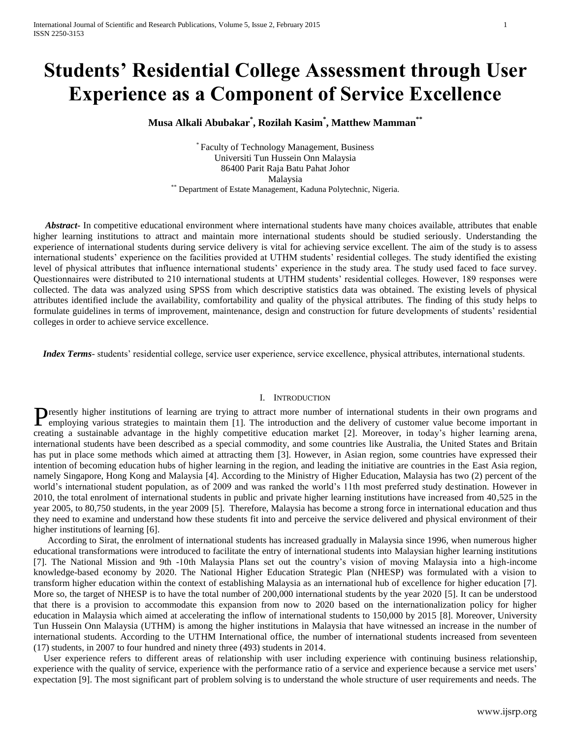# **Students' Residential College Assessment through User Experience as a Component of Service Excellence**

**Musa Alkali Abubakar\* , Rozilah Kasim\* , Matthew Mamman\*\***

\* Faculty of Technology Management, Business Universiti Tun Hussein Onn Malaysia 86400 Parit Raja Batu Pahat Johor Malaysia \*\* Department of Estate Management, Kaduna Polytechnic, Nigeria.

 *Abstract***-** In competitive educational environment where international students have many choices available, attributes that enable higher learning institutions to attract and maintain more international students should be studied seriously. Understanding the experience of international students during service delivery is vital for achieving service excellent. The aim of the study is to assess international students' experience on the facilities provided at UTHM students' residential colleges. The study identified the existing level of physical attributes that influence international students' experience in the study area. The study used faced to face survey. Questionnaires were distributed to 210 international students at UTHM students' residential colleges. However, 189 responses were collected. The data was analyzed using SPSS from which descriptive statistics data was obtained. The existing levels of physical attributes identified include the availability, comfortability and quality of the physical attributes. The finding of this study helps to formulate guidelines in terms of improvement, maintenance, design and construction for future developments of students' residential colleges in order to achieve service excellence.

 *Index Terms*- students' residential college, service user experience, service excellence, physical attributes, international students.

### I. INTRODUCTION

**The resently higher institutions of learning are trying to attract more number of international students in their own programs and P**resently higher institutions of learning are trying to attract more number of international students in their own programs and employing various strategies to maintain them [1]. The introduction and the delivery of cust creating a sustainable advantage in the highly competitive education market [2]. Moreover, in today's higher learning arena, international students have been described as a special commodity, and some countries like Australia, the United States and Britain has put in place some methods which aimed at attracting them [3]. However, in Asian region, some countries have expressed their intention of becoming education hubs of higher learning in the region, and leading the initiative are countries in the East Asia region, namely Singapore, Hong Kong and Malaysia [4]. According to the Ministry of Higher Education, Malaysia has two (2) percent of the world's international student population, as of 2009 and was ranked the world's 11th most preferred study destination. However in 2010, the total enrolment of international students in public and private higher learning institutions have increased from 40,525 in the year 2005, to 80,750 students, in the year 2009 [5]. Therefore, Malaysia has become a strong force in international education and thus they need to examine and understand how these students fit into and perceive the service delivered and physical environment of their higher institutions of learning [6].

 According to Sirat, the enrolment of international students has increased gradually in Malaysia since 1996, when numerous higher educational transformations were introduced to facilitate the entry of international students into Malaysian higher learning institutions [7]. The National Mission and 9th -10th Malaysia Plans set out the country's vision of moving Malaysia into a high-income knowledge-based economy by 2020. The National Higher Education Strategic Plan (NHESP) was formulated with a vision to transform higher education within the context of establishing Malaysia as an international hub of excellence for higher education [7]. More so, the target of NHESP is to have the total number of 200,000 international students by the year 2020 [5]. It can be understood that there is a provision to accommodate this expansion from now to 2020 based on the internationalization policy for higher education in Malaysia which aimed at accelerating the inflow of international students to 150,000 by 2015 [8]. Moreover, University Tun Hussein Onn Malaysia (UTHM) is among the higher institutions in Malaysia that have witnessed an increase in the number of international students. According to the UTHM International office, the number of international students increased from seventeen (17) students, in 2007 to four hundred and ninety three (493) students in 2014.

User experience refers to different areas of relationship with user including experience with continuing business relationship, experience with the quality of service, experience with the performance ratio of a service and experience because a service met users' expectation [9]. The most significant part of problem solving is to understand the whole structure of user requirements and needs. The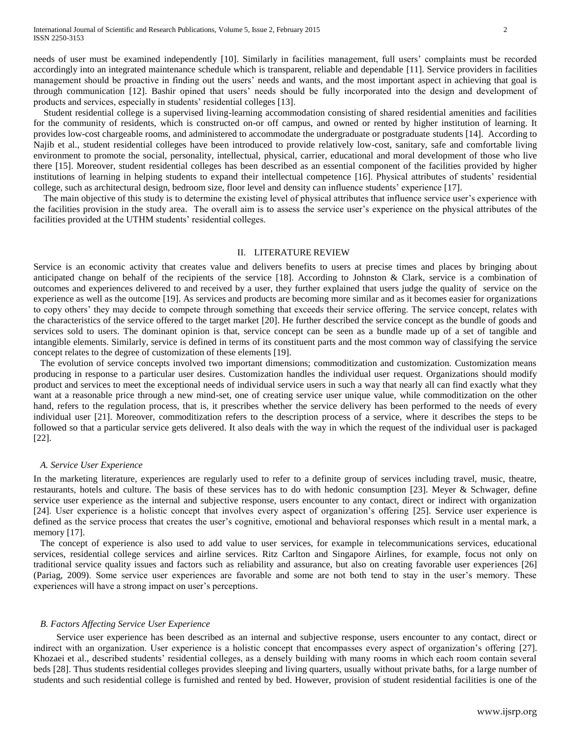needs of user must be examined independently [10]. Similarly in facilities management, full users' complaints must be recorded accordingly into an integrated maintenance schedule which is transparent, reliable and dependable [11]. Service providers in facilities management should be proactive in finding out the users' needs and wants, and the most important aspect in achieving that goal is through communication [12]. Bashir opined that users' needs should be fully incorporated into the design and development of products and services, especially in students' residential colleges [13].

Student residential college is a supervised living-learning accommodation consisting of shared residential amenities and facilities for the community of residents, which is constructed on-or off campus, and owned or rented by higher institution of learning. It provides low-cost chargeable rooms, and administered to accommodate the undergraduate or postgraduate students [14]. According to Najib et al., student residential colleges have been introduced to provide relatively low-cost, sanitary, safe and comfortable living environment to promote the social, personality, intellectual, physical, carrier, educational and moral development of those who live there [15]. Moreover, student residential colleges has been described as an essential component of the facilities provided by higher institutions of learning in helping students to expand their intellectual competence [16]. Physical attributes of students' residential college, such as architectural design, bedroom size, floor level and density can influence students' experience [17].

The main objective of this study is to determine the existing level of physical attributes that influence service user's experience with the facilities provision in the study area. The overall aim is to assess the service user's experience on the physical attributes of the facilities provided at the UTHM students' residential colleges.

### II. LITERATURE REVIEW

Service is an economic activity that creates value and delivers benefits to users at precise times and places by bringing about anticipated change on behalf of the recipients of the service [18]. According to Johnston & Clark, service is a combination of outcomes and experiences delivered to and received by a user, they further explained that users judge the quality of service on the experience as well as the outcome [19]. As services and products are becoming more similar and as it becomes easier for organizations to copy others' they may decide to compete through something that exceeds their service offering. The service concept, relates with the characteristics of the service offered to the target market [20]. He further described the service concept as the bundle of goods and services sold to users. The dominant opinion is that, service concept can be seen as a bundle made up of a set of tangible and intangible elements. Similarly, service is defined in terms of its constituent parts and the most common way of classifying the service concept relates to the degree of customization of these elements [19].

The evolution of service concepts involved two important dimensions; commoditization and customization. Customization means producing in response to a particular user desires. Customization handles the individual user request. Organizations should modify product and services to meet the exceptional needs of individual service users in such a way that nearly all can find exactly what they want at a reasonable price through a new mind-set, one of creating service user unique value, while commoditization on the other hand, refers to the regulation process, that is, it prescribes whether the service delivery has been performed to the needs of every individual user [21]. Moreover, commoditization refers to the description process of a service, where it describes the steps to be followed so that a particular service gets delivered. It also deals with the way in which the request of the individual user is packaged [22].

### *A. Service User Experience*

In the marketing literature, experiences are regularly used to refer to a definite group of services including travel, music, theatre, restaurants, hotels and culture. The basis of these services has to do with hedonic consumption [23]. Meyer & Schwager, define service user experience as the internal and subjective response, users encounter to any contact, direct or indirect with organization [24]. User experience is a holistic concept that involves every aspect of organization's offering [25]. Service user experience is defined as the service process that creates the user's cognitive, emotional and behavioral responses which result in a mental mark, a memory [17].

The concept of experience is also used to add value to user services, for example in telecommunications services, educational services, residential college services and airline services. Ritz Carlton and Singapore Airlines, for example, focus not only on traditional service quality issues and factors such as reliability and assurance, but also on creating favorable user experiences [26] (Pariag, 2009). Some service user experiences are favorable and some are not both tend to stay in the user's memory. These experiences will have a strong impact on user's perceptions.

## *B. Factors Affecting Service User Experience*

 Service user experience has been described as an internal and subjective response, users encounter to any contact, direct or indirect with an organization. User experience is a holistic concept that encompasses every aspect of organization's offering [27]. Khozaei et al., described students' residential colleges, as a densely building with many rooms in which each room contain several beds [28]. Thus students residential colleges provides sleeping and living quarters, usually without private baths, for a large number of students and such residential college is furnished and rented by bed. However, provision of student residential facilities is one of the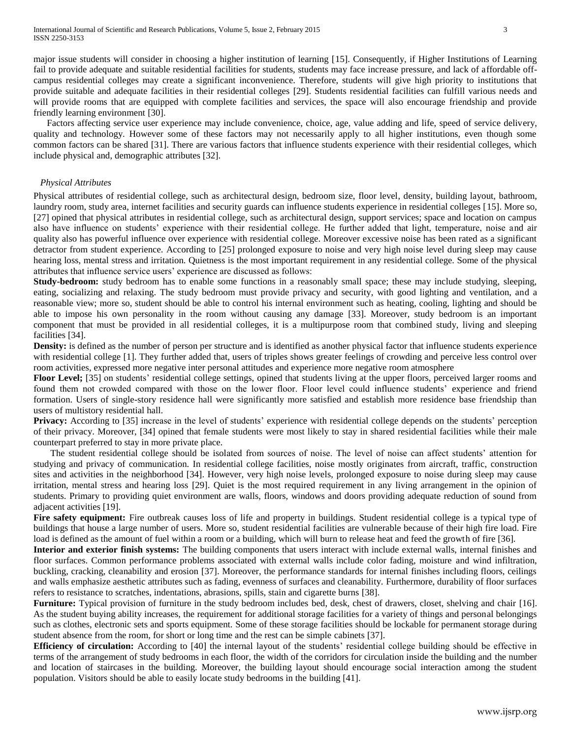major issue students will consider in choosing a higher institution of learning [15]. Consequently, if Higher Institutions of Learning fail to provide adequate and suitable residential facilities for students, students may face increase pressure, and lack of affordable offcampus residential colleges may create a significant inconvenience. Therefore, students will give high priority to institutions that provide suitable and adequate facilities in their residential colleges [29]. Students residential facilities can fulfill various needs and will provide rooms that are equipped with complete facilities and services, the space will also encourage friendship and provide friendly learning environment [30].

Factors affecting service user experience may include convenience, choice, age, value adding and life, speed of service delivery, quality and technology. However some of these factors may not necessarily apply to all higher institutions, even though some common factors can be shared [31]. There are various factors that influence students experience with their residential colleges, which include physical and, demographic attributes [32].

# *Physical Attributes*

Physical attributes of residential college, such as architectural design, bedroom size, floor level, density, building layout, bathroom, laundry room, study area, internet facilities and security guards can influence students experience in residential colleges [15]. More so, [27] opined that physical attributes in residential college, such as architectural design, support services; space and location on campus also have influence on students' experience with their residential college. He further added that light, temperature, noise and air quality also has powerful influence over experience with residential college. Moreover excessive noise has been rated as a significant detractor from student experience. According to [25] prolonged exposure to noise and very high noise level during sleep may cause hearing loss, mental stress and irritation. Quietness is the most important requirement in any residential college. Some of the physical attributes that influence service users' experience are discussed as follows:

**Study-bedroom:** study bedroom has to enable some functions in a reasonably small space; these may include studying, sleeping, eating, socializing and relaxing. The study bedroom must provide privacy and security, with good lighting and ventilation, and a reasonable view; more so, student should be able to control his internal environment such as heating, cooling, lighting and should be able to impose his own personality in the room without causing any damage [33]. Moreover, study bedroom is an important component that must be provided in all residential colleges, it is a multipurpose room that combined study, living and sleeping facilities [34].

**Density:** is defined as the number of person per structure and is identified as another physical factor that influence students experience with residential college [1]. They further added that, users of triples shows greater feelings of crowding and perceive less control over room activities, expressed more negative inter personal attitudes and experience more negative room atmosphere

**Floor Level;** [35] on students' residential college settings, opined that students living at the upper floors, perceived larger rooms and found them not crowded compared with those on the lower floor. Floor level could influence students' experience and friend formation. Users of single-story residence hall were significantly more satisfied and establish more residence base friendship than users of multistory residential hall.

**Privacy:** According to [35] increase in the level of students' experience with residential college depends on the students' perception of their privacy. Moreover, [34] opined that female students were most likely to stay in shared residential facilities while their male counterpart preferred to stay in more private place.

The student residential college should be isolated from sources of noise. The level of noise can affect students' attention for studying and privacy of communication. In residential college facilities, noise mostly originates from aircraft, traffic, construction sites and activities in the neighborhood [34]. However, very high noise levels, prolonged exposure to noise during sleep may cause irritation, mental stress and hearing loss [29]. Quiet is the most required requirement in any living arrangement in the opinion of students. Primary to providing quiet environment are walls, floors, windows and doors providing adequate reduction of sound from adjacent activities [19].

Fire safety equipment: Fire outbreak causes loss of life and property in buildings. Student residential college is a typical type of buildings that house a large number of users. More so, student residential facilities are vulnerable because of their high fire load. Fire load is defined as the amount of fuel within a room or a building, which will burn to release heat and feed the growth of fire [36].

**Interior and exterior finish systems:** The building components that users interact with include external walls, internal finishes and floor surfaces. Common performance problems associated with external walls include color fading, moisture and wind infiltration, buckling, cracking, cleanability and erosion [37]. Moreover, the performance standards for internal finishes including floors, ceilings and walls emphasize aesthetic attributes such as fading, evenness of surfaces and cleanability. Furthermore, durability of floor surfaces refers to resistance to scratches, indentations, abrasions, spills, stain and cigarette burns [38].

**Furniture:** Typical provision of furniture in the study bedroom includes bed, desk, chest of drawers, closet, shelving and chair [16]. As the student buying ability increases, the requirement for additional storage facilities for a variety of things and personal belongings such as clothes, electronic sets and sports equipment. Some of these storage facilities should be lockable for permanent storage during student absence from the room, for short or long time and the rest can be simple cabinets [37].

**Efficiency of circulation:** According to [40] the internal layout of the students' residential college building should be effective in terms of the arrangement of study bedrooms in each floor, the width of the corridors for circulation inside the building and the number and location of staircases in the building. Moreover, the building layout should encourage social interaction among the student population. Visitors should be able to easily locate study bedrooms in the building [41].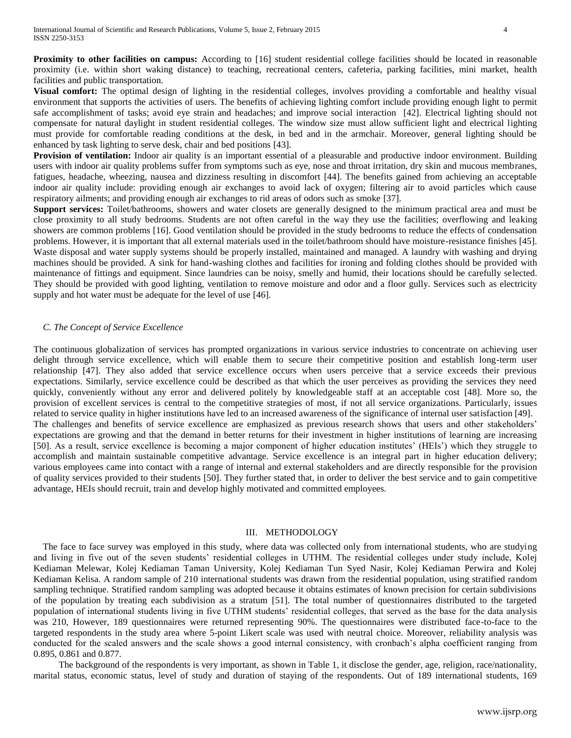**Proximity to other facilities on campus:** According to [16] student residential college facilities should be located in reasonable proximity (i.e. within short waking distance) to teaching, recreational centers, cafeteria, parking facilities, mini market, health facilities and public transportation.

**Visual comfort:** The optimal design of lighting in the residential colleges, involves providing a comfortable and healthy visual environment that supports the activities of users. The benefits of achieving lighting comfort include providing enough light to permit safe accomplishment of tasks; avoid eye strain and headaches; and improve social interaction [42]. Electrical lighting should not compensate for natural daylight in student residential colleges. The window size must allow sufficient light and electrical lighting must provide for comfortable reading conditions at the desk, in bed and in the armchair. Moreover, general lighting should be enhanced by task lighting to serve desk, chair and bed positions [43].

**Provision of ventilation:** Indoor air quality is an important essential of a pleasurable and productive indoor environment. Building users with indoor air quality problems suffer from symptoms such as eye, nose and throat irritation, dry skin and mucous membranes, fatigues, headache, wheezing, nausea and dizziness resulting in discomfort [44]. The benefits gained from achieving an acceptable indoor air quality include: providing enough air exchanges to avoid lack of oxygen; filtering air to avoid particles which cause respiratory ailments; and providing enough air exchanges to rid areas of odors such as smoke [37].

**Support services:** Toilet/bathrooms, showers and water closets are generally designed to the minimum practical area and must be close proximity to all study bedrooms. Students are not often careful in the way they use the facilities; overflowing and leaking showers are common problems [16]. Good ventilation should be provided in the study bedrooms to reduce the effects of condensation problems. However, it is important that all external materials used in the toilet/bathroom should have moisture-resistance finishes [45]. Waste disposal and water supply systems should be properly installed, maintained and managed. A laundry with washing and drying machines should be provided. A sink for hand-washing clothes and facilities for ironing and folding clothes should be provided with maintenance of fittings and equipment. Since laundries can be noisy, smelly and humid, their locations should be carefully selected. They should be provided with good lighting, ventilation to remove moisture and odor and a floor gully. Services such as electricity supply and hot water must be adequate for the level of use [46].

# *C. The Concept of Service Excellence*

The continuous globalization of services has prompted organizations in various service industries to concentrate on achieving user delight through service excellence, which will enable them to secure their competitive position and establish long-term user relationship [47]. They also added that service excellence occurs when users perceive that a service exceeds their previous expectations. Similarly, service excellence could be described as that which the user perceives as providing the services they need quickly, conveniently without any error and delivered politely by knowledgeable staff at an acceptable cost [48]. More so, the provision of excellent services is central to the competitive strategies of most, if not all service organizations. Particularly, issues related to service quality in higher institutions have led to an increased awareness of the significance of internal user satisfaction [49]. The challenges and benefits of service excellence are emphasized as previous research shows that users and other stakeholders' expectations are growing and that the demand in better returns for their investment in higher institutions of learning are increasing [50]. As a result, service excellence is becoming a major component of higher education institutes' (HEIs') which they struggle to accomplish and maintain sustainable competitive advantage. Service excellence is an integral part in higher education delivery; various employees came into contact with a range of internal and external stakeholders and are directly responsible for the provision of quality services provided to their students [50]. They further stated that, in order to deliver the best service and to gain competitive advantage, HEIs should recruit, train and develop highly motivated and committed employees.

## III. METHODOLOGY

 The face to face survey was employed in this study, where data was collected only from international students, who are studying and living in five out of the seven students' residential colleges in UTHM. The residential colleges under study include, Kolej Kediaman Melewar, Kolej Kediaman Taman University, Kolej Kediaman Tun Syed Nasir, Kolej Kediaman Perwira and Kolej Kediaman Kelisa. A random sample of 210 international students was drawn from the residential population, using stratified random sampling technique. Stratified random sampling was adopted because it obtains estimates of known precision for certain subdivisions of the population by treating each subdivision as a stratum [51]. The total number of questionnaires distributed to the targeted population of international students living in five UTHM students' residential colleges, that served as the base for the data analysis was 210, However, 189 questionnaires were returned representing 90%. The questionnaires were distributed face-to-face to the targeted respondents in the study area where 5-point Likert scale was used with neutral choice. Moreover, reliability analysis was conducted for the scaled answers and the scale shows a good internal consistency, with cronbach's alpha coefficient ranging from 0.895, 0.861 and 0.877.

The background of the respondents is very important, as shown in Table 1, it disclose the gender, age, religion, race/nationality, marital status, economic status, level of study and duration of staying of the respondents. Out of 189 international students, 169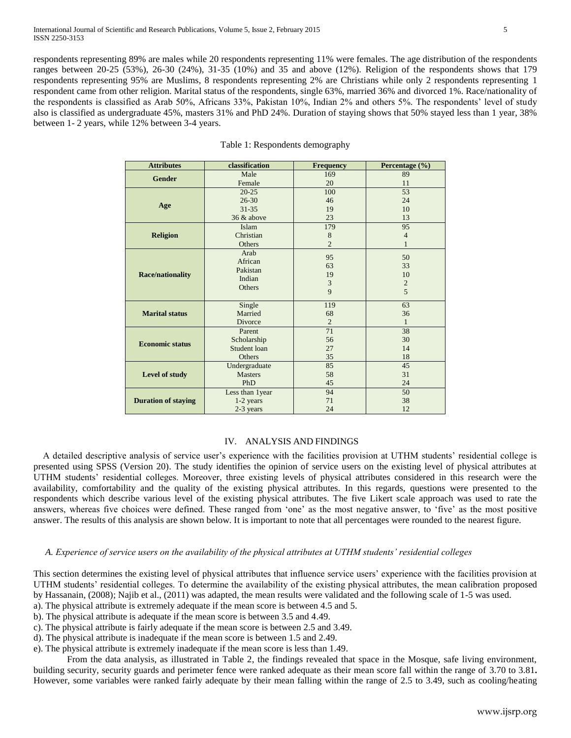respondents representing 89% are males while 20 respondents representing 11% were females. The age distribution of the respondents ranges between 20-25 (53%), 26-30 (24%), 31-35 (10%) and 35 and above (12%). Religion of the respondents shows that 179 respondents representing 95% are Muslims, 8 respondents representing 2% are Christians while only 2 respondents representing 1 respondent came from other religion. Marital status of the respondents, single 63%, married 36% and divorced 1%. Race/nationality of the respondents is classified as Arab 50%, Africans 33%, Pakistan 10%, Indian 2% and others 5%. The respondents' level of study also is classified as undergraduate 45%, masters 31% and PhD 24%. Duration of staying shows that 50% stayed less than 1 year, 38% between 1- 2 years, while 12% between 3-4 years.

| <b>Attributes</b>          | classification   |                | Percentage (%) |  |  |
|----------------------------|------------------|----------------|----------------|--|--|
| <b>Gender</b>              | Male             | 169            | 89             |  |  |
|                            | Female           | 20             | 11             |  |  |
|                            | $20 - 25$        | 100            | 53             |  |  |
| Age                        | $26 - 30$        | 46             | 24             |  |  |
|                            | $31 - 35$        | 19             | 10             |  |  |
|                            | 36 & above       | 23             | 13             |  |  |
|                            | Islam            | 179            | 95             |  |  |
| <b>Religion</b>            | Christian        | 8              | $\overline{4}$ |  |  |
|                            | Others           | $\overline{2}$ |                |  |  |
|                            | Arab             | 95             | 50             |  |  |
|                            | African          | 63             | 33             |  |  |
| <b>Race/nationality</b>    | Pakistan         | 19             | 10             |  |  |
|                            | Indian           | 3              | $\overline{2}$ |  |  |
|                            | Others           | 9              | 5              |  |  |
|                            |                  |                |                |  |  |
|                            | Single           | 119            | 63             |  |  |
| <b>Marital status</b>      | Married          | 68             | 36             |  |  |
|                            | Divorce          | $\overline{2}$ | 1              |  |  |
|                            | Parent           | 71             | 38             |  |  |
| <b>Economic status</b>     | Scholarship      | 56             | 30             |  |  |
|                            | Student loan     | 27             | 14             |  |  |
|                            | Others           | 35             | 18             |  |  |
|                            | Undergraduate    | 85             | 45             |  |  |
| Level of study             | <b>Masters</b>   | 58             | 31             |  |  |
|                            | PhD              | 45             | 24             |  |  |
|                            | Less than 1 year | 94             | 50             |  |  |
| <b>Duration of staying</b> | 1-2 years        | 71             | 38             |  |  |
|                            | 2-3 years        | 24             | 12             |  |  |

|  | Table 1: Respondents demography |
|--|---------------------------------|
|--|---------------------------------|

# IV. ANALYSIS AND FINDINGS

 A detailed descriptive analysis of service user's experience with the facilities provision at UTHM students' residential college is presented using SPSS (Version 20). The study identifies the opinion of service users on the existing level of physical attributes at UTHM students' residential colleges. Moreover, three existing levels of physical attributes considered in this research were the availability, comfortability and the quality of the existing physical attributes. In this regards, questions were presented to the respondents which describe various level of the existing physical attributes. The five Likert scale approach was used to rate the answers, whereas five choices were defined. These ranged from 'one' as the most negative answer, to 'five' as the most positive answer. The results of this analysis are shown below. It is important to note that all percentages were rounded to the nearest figure.

## *A. Experience of service users on the availability of the physical attributes at UTHM students' residential colleges*

This section determines the existing level of physical attributes that influence service users' experience with the facilities provision at UTHM students' residential colleges. To determine the availability of the existing physical attributes, the mean calibration proposed by Hassanain, (2008); Najib et al., (2011) was adapted, the mean results were validated and the following scale of 1-5 was used.

- a). The physical attribute is extremely adequate if the mean score is between 4.5 and 5.
- b). The physical attribute is adequate if the mean score is between 3.5 and 4.49.
- c). The physical attribute is fairly adequate if the mean score is between 2.5 and 3.49.
- d). The physical attribute is inadequate if the mean score is between 1.5 and 2.49.
- e). The physical attribute is extremely inadequate if the mean score is less than 1.49.

From the data analysis, as illustrated in Table 2, the findings revealed that space in the Mosque, safe living environment, building security, security guards and perimeter fence were ranked adequate as their mean score fall within the range of 3.70 to 3.81**.** However, some variables were ranked fairly adequate by their mean falling within the range of 2.5 to 3.49, such as cooling/heating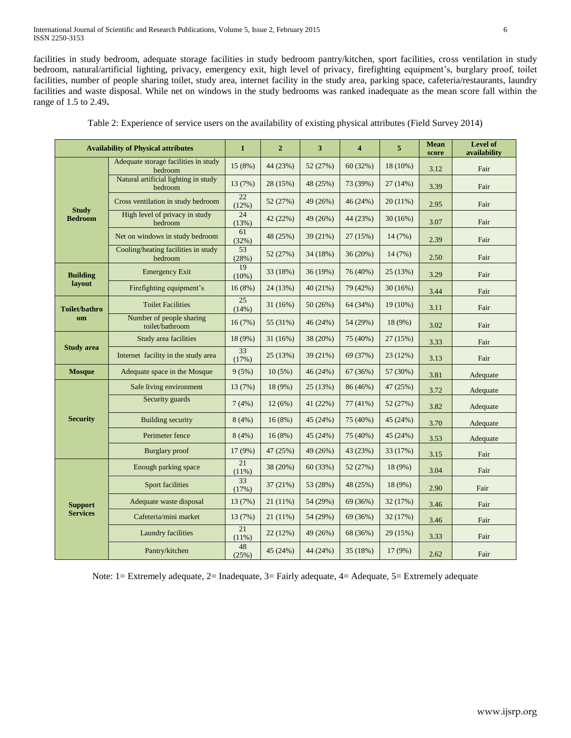International Journal of Scientific and Research Publications, Volume 5, Issue 2, February 2015 6 ISSN 2250-3153

facilities in study bedroom, adequate storage facilities in study bedroom pantry/kitchen, sport facilities, cross ventilation in study bedroom, natural/artificial lighting, privacy, emergency exit, high level of privacy, firefighting equipment's, burglary proof, toilet facilities, number of people sharing toilet, study area, internet facility in the study area, parking space, cafeteria/restaurants, laundry facilities and waste disposal. While net on windows in the study bedrooms was ranked inadequate as the mean score fall within the range of 1.5 to 2.49**.**

| <b>Availability of Physical attributes</b> |                                                 | $\mathbf{1}$ | $\overline{2}$ | $\overline{\mathbf{3}}$ | $\overline{\mathbf{4}}$ | 5          | <b>Mean</b><br>score | <b>Level of</b><br>availability |
|--------------------------------------------|-------------------------------------------------|--------------|----------------|-------------------------|-------------------------|------------|----------------------|---------------------------------|
| <b>Study</b><br><b>Bedroom</b>             | Adequate storage facilities in study<br>bedroom | 15(8%)       | 44 (23%)       | 52 (27%)                | 60(32%)                 | 18 (10%)   | 3.12                 | Fair                            |
|                                            | Natural artificial lighting in study<br>bedroom | 13 (7%)      | 28 (15%)       | 48 (25%)                | 73 (39%)                | 27 (14%)   | 3.39                 | Fair                            |
|                                            | Cross ventilation in study bedroom              | 22<br>(12%)  | 52 (27%)       | 49 (26%)                | 46(24%)                 | $20(11\%)$ | 2.95                 | Fair                            |
|                                            | High level of privacy in study<br>bedroom       | 24<br>(13%)  | 42 (22%)       | 49 (26%)                | 44 (23%)                | 30(16%)    | 3.07                 | Fair                            |
|                                            | Net on windows in study bedroom                 | 61<br>(32%)  | 48 (25%)       | 39 (21%)                | 27(15%)                 | 14(7%)     | 2.39                 | Fair                            |
|                                            | Cooling/heating facilities in study<br>bedroom  | 53<br>(28%)  | 52 (27%)       | 34 (18%)                | 36(20%)                 | 14(7%)     | 2.50                 | Fair                            |
| <b>Building</b>                            | <b>Emergency Exit</b>                           | 19<br>(10%)  | 33 (18%)       | 36 (19%)                | 76 (40%)                | 25(13%)    | 3.29                 | Fair                            |
| layout                                     | Firefighting equipment's                        | 16(8%)       | 24 (13%)       | 40(21%)                 | 79 (42%)                | 30(16%)    | 3.44                 | Fair                            |
| Toilet/bathro<br>om                        | <b>Toilet Facilities</b>                        | 25<br>(14%)  | 31(16%)        | 50(26%)                 | 64 (34%)                | $19(10\%)$ | 3.11                 | Fair                            |
|                                            | Number of people sharing<br>toilet/bathroom     | 16(7%)       | 55 (31%)       | 46(24%)                 | 54 (29%)                | $18(9\%)$  | 3.02                 | Fair                            |
| <b>Study area</b>                          | Study area facilities                           | 18 (9%)      | 31(16%)        | 38 (20%)                | 75 (40%)                | 27(15%)    | 3.33                 | Fair                            |
|                                            | Internet facility in the study area             | 33<br>(17%)  | 25(13%)        | 39 (21%)                | 69 (37%)                | 23(12%)    | 3.13                 | Fair                            |
| <b>Mosque</b>                              | Adequate space in the Mosque                    | 9(5%)        | 10(5%)         | 46 (24%)                | 67 (36%)                | 57 (30%)   | 3.81                 | Adequate                        |
|                                            | Safe living environment                         | 13 (7%)      | 18 (9%)        | 25(13%)                 | 86 (46%)                | 47 (25%)   | 3.72                 | Adequate                        |
|                                            | Security guards                                 | 7(4%)        | 12(6%)         | 41 (22%)                | 77(41%)                 | 52(27%)    | 3.82                 | Adequate                        |
| <b>Security</b>                            | <b>Building security</b>                        | 8(4%)        | 16(8%)         | 45 (24%)                | 75 (40%)                | 45 (24%)   | 3.70                 | Adequate                        |
|                                            | Perimeter fence                                 | 8(4%)        | 16(8%)         | 45 (24%)                | 75 (40%)                | 45 (24%)   | 3.53                 | Adequate                        |
|                                            | <b>Burglary</b> proof                           | 17 (9%)      | 47 (25%)       | 49 (26%)                | 43 (23%)                | 33 (17%)   | 3.15                 | Fair                            |
|                                            | Enough parking space                            | 21<br>(11%)  | 38 (20%)       | 60 (33%)                | 52 (27%)                | 18 (9%)    | 3.04                 | Fair                            |
| <b>Support</b><br><b>Services</b>          | Sport facilities                                | 33<br>(17%)  | 37(21%)        | 53 (28%)                | 48 (25%)                | 18 (9%)    | 2.90                 | Fair                            |
|                                            | Adequate waste disposal                         | 13 (7%)      | $21(11\%)$     | 54 (29%)                | 69 (36%)                | 32(17%)    | 3.46                 | Fair                            |
|                                            | Cafeteria/mini market                           | 13 (7%)      | 21 (11%)       | 54 (29%)                | 69 (36%)                | 32 (17%)   | 3.46                 | Fair                            |
|                                            | Laundry facilities                              | 21<br>(11%)  | 22 (12%)       | 49 (26%)                | 68 (36%)                | 29 (15%)   | 3.33                 | Fair                            |
|                                            | Pantry/kitchen                                  | 48<br>(25%)  | 45 (24%)       | 44 (24%)                | 35 (18%)                | 17 (9%)    | 2.62                 | Fair                            |

Table 2: Experience of service users on the availability of existing physical attributes (Field Survey 2014)

Note: 1= Extremely adequate, 2= Inadequate, 3= Fairly adequate, 4= Adequate, 5= Extremely adequate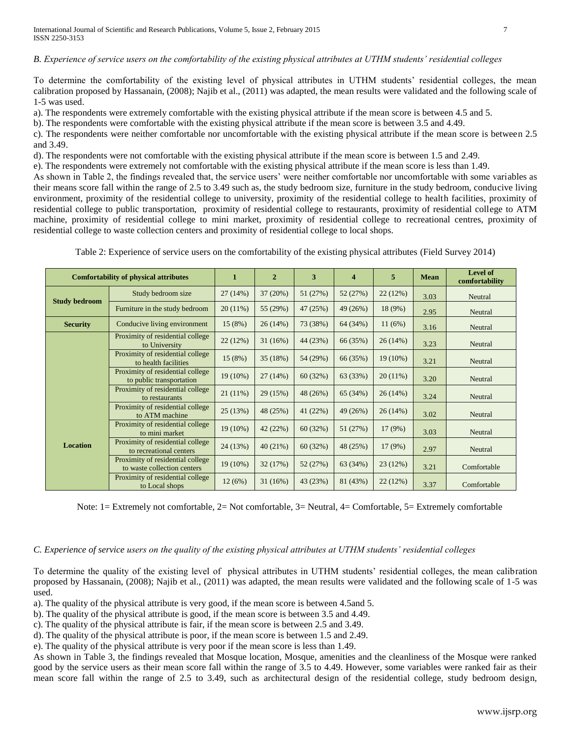*B. Experience of service users on the comfortability of the existing physical attributes at UTHM students' residential colleges*

To determine the comfortability of the existing level of physical attributes in UTHM students' residential colleges, the mean calibration proposed by Hassanain, (2008); Najib et al., (2011) was adapted, the mean results were validated and the following scale of 1-5 was used.

a). The respondents were extremely comfortable with the existing physical attribute if the mean score is between 4.5 and 5.

b). The respondents were comfortable with the existing physical attribute if the mean score is between 3.5 and 4.49.

c). The respondents were neither comfortable nor uncomfortable with the existing physical attribute if the mean score is between 2.5 and 3.49.

d). The respondents were not comfortable with the existing physical attribute if the mean score is between 1.5 and 2.49.

e). The respondents were extremely not comfortable with the existing physical attribute if the mean score is less than 1.49.

As shown in Table 2, the findings revealed that, the service users' were neither comfortable nor uncomfortable with some variables as their means score fall within the range of 2.5 to 3.49 such as, the study bedroom size, furniture in the study bedroom, conducive living environment, proximity of the residential college to university, proximity of the residential college to health facilities, proximity of residential college to public transportation, proximity of residential college to restaurants, proximity of residential college to ATM machine, proximity of residential college to mini market, proximity of residential college to recreational centres, proximity of residential college to waste collection centers and proximity of residential college to local shops.

| <b>Comfortability of physical attributes</b> |                                                                 | 1          | $\overline{2}$ | 3        | $\overline{\bf{4}}$ | 5          | <b>Mean</b> | <b>Level of</b><br>comfortability |
|----------------------------------------------|-----------------------------------------------------------------|------------|----------------|----------|---------------------|------------|-------------|-----------------------------------|
|                                              | Study bedroom size                                              | 27 (14%)   | 37(20%)        | 51 (27%) | 52 (27%)            | 22(12%)    | 3.03        | Neutral                           |
| <b>Study bedroom</b>                         | Furniture in the study bedroom                                  | 20(11%)    | 55 (29%)       | 47 (25%) | 49 (26%)            | 18 (9%)    | 2.95        | Neutral                           |
| <b>Security</b>                              | Conducive living environment                                    | 15 (8%)    | 26(14%)        | 73 (38%) | 64 (34%)            | 11(6%)     | 3.16        | Neutral                           |
|                                              | Proximity of residential college<br>to University               | 22 (12%)   | 31(16%)        | 44 (23%) | 66 (35%)            | 26(14%)    | 3.23        | Neutral                           |
|                                              | Proximity of residential college<br>to health facilities        | 15 (8%)    | 35(18%)        | 54 (29%) | 66 (35%)            | $19(10\%)$ | 3.21        | Neutral                           |
|                                              | Proximity of residential college<br>to public transportation    | 19 (10%)   | 27(14%)        | 60(32%)  | 63 (33%)            | 20(11%)    | 3.20        | Neutral                           |
|                                              | Proximity of residential college<br>to restaurants              | $21(11\%)$ | 29 (15%)       | 48 (26%) | 65 (34%)            | 26(14%)    | 3.24        | Neutral                           |
| <b>Location</b>                              | Proximity of residential college<br>to ATM machine              | 25 (13%)   | 48 (25%)       | 41 (22%) | 49 (26%)            | 26(14%)    | 3.02        | Neutral                           |
|                                              | Proximity of residential college<br>to mini market              | 19 (10%)   | 42 (22%)       | 60(32%)  | 51 (27%)            | 17(9%)     | 3.03        | Neutral                           |
|                                              | Proximity of residential college<br>to recreational centers     | 24 (13%)   | 40(21%)        | 60(32%)  | 48 (25%)            | 17 (9%)    | 2.97        | Neutral                           |
|                                              | Proximity of residential college<br>to waste collection centers | 19 (10%)   | 32(17%)        | 52 (27%) | 63 (34%)            | 23 (12%)   | 3.21        | Comfortable                       |
|                                              | Proximity of residential college<br>to Local shops              | 12(6%)     | 31(16%)        | 43 (23%) | 81 (43%)            | 22(12%)    | 3.37        | Comfortable                       |

Table 2: Experience of service users on the comfortability of the existing physical attributes (Field Survey 2014)

Note: 1= Extremely not comfortable, 2= Not comfortable, 3= Neutral, 4= Comfortable, 5= Extremely comfortable

# *C. Experience of service users on the quality of the existing physical attributes at UTHM students' residential colleges*

To determine the quality of the existing level of physical attributes in UTHM students' residential colleges, the mean calibration proposed by Hassanain, (2008); Najib et al., (2011) was adapted, the mean results were validated and the following scale of 1-5 was used.

a). The quality of the physical attribute is very good, if the mean score is between 4.5and 5.

b). The quality of the physical attribute is good, if the mean score is between 3.5 and 4.49.

c). The quality of the physical attribute is fair, if the mean score is between 2.5 and 3.49.

d). The quality of the physical attribute is poor, if the mean score is between 1.5 and 2.49.

e). The quality of the physical attribute is very poor if the mean score is less than 1.49.

As shown in Table 3, the findings revealed that Mosque location, Mosque, amenities and the cleanliness of the Mosque were ranked good by the service users as their mean score fall within the range of 3.5 to 4.49. However, some variables were ranked fair as their mean score fall within the range of 2.5 to 3.49, such as architectural design of the residential college, study bedroom design,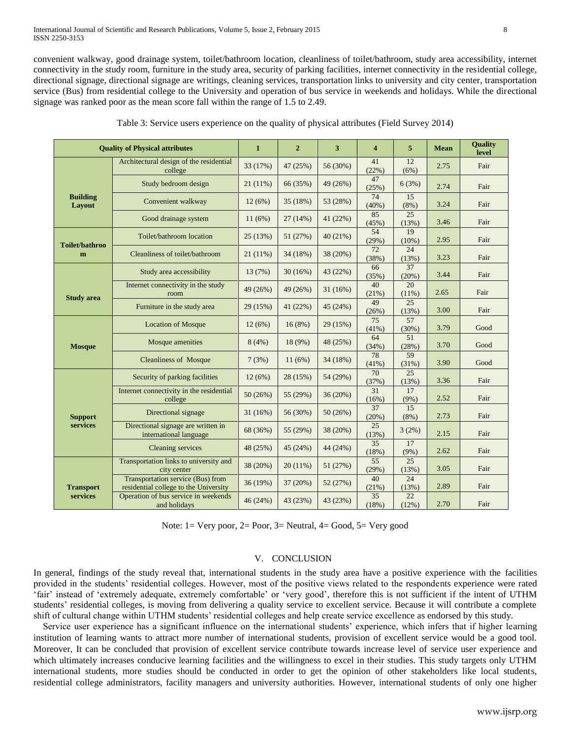convenient walkway, good drainage system, toilet/bathroom location, cleanliness of toilet/bathroom, study area accessibility, internet connectivity in the study room, furniture in the study area, security of parking facilities, internet connectivity in the residential college, directional signage, directional signage are writings, cleaning services, transportation links to university and city center, transportation service (Bus) from residential college to the University and operation of bus service in weekends and holidays. While the directional signage was ranked poor as the mean score fall within the range of 1.5 to 2.49.

| <b>Quality of Physical attributes</b> |                                                                            | $\mathbf{1}$ | $\overline{2}$ | 3        | $\overline{\mathbf{4}}$  | 5             | <b>Mean</b> | Quality<br>level |
|---------------------------------------|----------------------------------------------------------------------------|--------------|----------------|----------|--------------------------|---------------|-------------|------------------|
|                                       | Architectural design of the residential<br>college                         | 33 (17%)     | 47 (25%)       | 56 (30%) | 41<br>(22%)              | 12<br>(6%)    | 2.75        | Fair             |
| <b>Building</b><br>Layout             | Study bedroom design                                                       | $21(11\%)$   | 66 (35%)       | 49 (26%) | 47<br>(25%)              | 6(3%)         | 2.74        | Fair             |
|                                       | Convenient walkway                                                         | 12(6%)       | 35(18%)        | 53 (28%) | 74<br>(40%)              | 15<br>(8%)    | 3.24        | Fair             |
|                                       | Good drainage system                                                       | 11(6%)       | 27(14%)        | 41 (22%) | 85<br>(45%)              | 25<br>(13%)   | 3.46        | Fair             |
| <b>Toilet/bathroo</b>                 | Toilet/bathroom location                                                   | 25 (13%)     | 51(27%)        | 40(21%)  | 54<br>(29%)              | 19<br>(10%)   | 2.95        | Fair             |
| m                                     | Cleanliness of toilet/bathroom                                             | $21(11\%)$   | 34 (18%)       | 38 (20%) | 72<br>(38%)              | 24<br>(13%)   | 3.23        | Fair             |
|                                       | Study area accessibility                                                   | 13(7%)       | 30(16%)        | 43 (22%) | 66<br>(35%)              | 37<br>(20%)   | 3.44        | Fair             |
|                                       | Internet connectivity in the study<br>room                                 | 49 (26%)     | 49 (26%)       | 31(16%)  | 40<br>(21%)              | 20<br>(11%)   | 2.65        | Fair             |
| <b>Study area</b>                     | Furniture in the study area                                                | 29 (15%)     | 41(22%)        | 45 (24%) | 49<br>(26%)              | 25<br>(13%)   | 3.00        | Fair             |
|                                       | <b>Location of Mosque</b>                                                  | 12(6%)       | 16(8%)         | 29 (15%) | 75<br>(41%)              | 57<br>(30%)   | 3.79        | Good             |
| <b>Mosque</b>                         | Mosque amenities                                                           | 8(4%)        | 18 (9%)        | 48 (25%) | 64<br>(34%)              | 51<br>(28%)   | 3.70        | Good             |
|                                       | <b>Cleanliness of Mosque</b>                                               | 7(3%)        | 11(6%)         | 34 (18%) | 78<br>(41%)              | 59<br>(31%)   | 3.90        | Good             |
| <b>Support</b><br>services            | Security of parking facilities                                             | 12(6%)       | 28 (15%)       | 54 (29%) | 70<br>(37%)              | 25<br>(13%)   | 3.36        | Fair             |
|                                       | Internet connectivity in the residential<br>college                        | 50(26%)      | 55 (29%)       | 36 (20%) | 31<br>(16%)              | 17<br>$(9\%)$ | 2.52        | Fair             |
|                                       | Directional signage                                                        | 31 (16%)     | 56 (30%)       | 50(26%)  | 37<br>(20%)              | 15<br>$(8\%)$ | 2.73        | Fair             |
|                                       | Directional signage are written in<br>international language               | 68 (36%)     | 55 (29%)       | 38 (20%) | 25<br>(13%)              | 3(2%)         | 2.15        | Fair             |
|                                       | Cleaning services                                                          | 48 (25%)     | 45 (24%)       | 44 (24%) | $\overline{35}$<br>(18%) | 17<br>(9%)    | 2.62        | Fair             |
|                                       | Transportation links to university and<br>city center                      | 38 (20%)     | $20(11\%)$     | 51 (27%) | 55<br>(29%)              | 25<br>(13%)   | 3.05        | Fair             |
| <b>Transport</b>                      | Transportation service (Bus) from<br>residential college to the University | 36 (19%)     | 37(20%)        | 52 (27%) | 40<br>(21%)              | 24<br>(13%)   | 2.89        | Fair             |
| services                              | Operation of bus service in weekends<br>and holidays                       | 46 (24%)     | 43 (23%)       | 43 (23%) | 35<br>(18%)              | 22<br>(12%)   | 2.70        | Fair             |

Table 3: Service users experience on the quality of physical attributes (Field Survey 2014)

Note:  $1 = \text{Very poor}, 2 = \text{Poor}, 3 = \text{Neutral}, 4 = \text{Good}, 5 = \text{Very good}$ 

## V. CONCLUSION

In general, findings of the study reveal that, international students in the study area have a positive experience with the facilities provided in the students' residential colleges. However, most of the positive views related to the respondents experience were rated 'fair' instead of 'extremely adequate, extremely comfortable' or 'very good', therefore this is not sufficient if the intent of UTHM students' residential colleges, is moving from delivering a quality service to excellent service. Because it will contribute a complete shift of cultural change within UTHM students' residential colleges and help create service excellence as endorsed by this study.

Service user experience has a significant influence on the international students' experience, which infers that if higher learning institution of learning wants to attract more number of international students, provision of excellent service would be a good tool. Moreover, It can be concluded that provision of excellent service contribute towards increase level of service user experience and which ultimately increases conducive learning facilities and the willingness to excel in their studies. This study targets only UTHM international students, more studies should be conducted in order to get the opinion of other stakeholders like local students, residential college administrators, facility managers and university authorities. However, international students of only one higher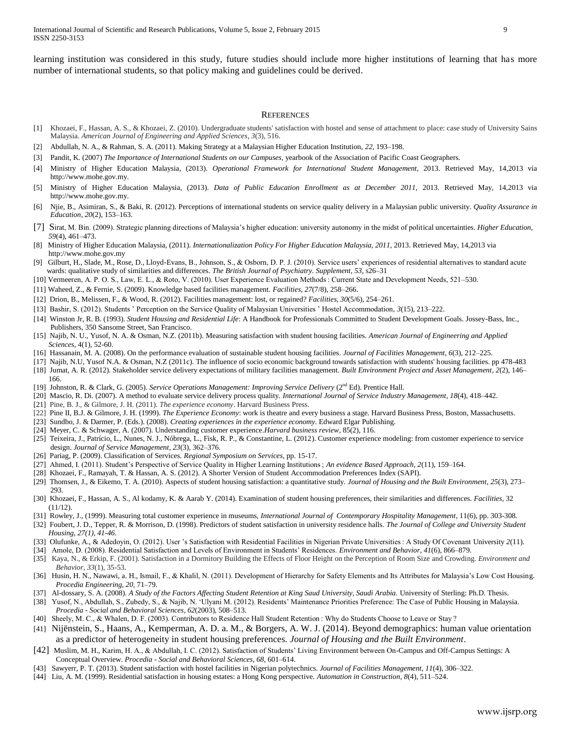learning institution was considered in this study, future studies should include more higher institutions of learning that has more number of international students, so that policy making and guidelines could be derived.

#### **REFERENCES**

- [1] Khozaei, F., Hassan, A. S., & Khozaei, Z. (2010). Undergraduate students' satisfaction with hostel and sense of attachment to place: case study of University Sains Malaysia. *American Journal of Engineering and Applied Sciences*, *3*(3), 516.
- [2] Abdullah, N. A., & Rahman, S. A. (2011). Making Strategy at a Malaysian Higher Education Institution, *22*, 193–198.
- [3] Pandit, K. (2007) *The Importance of International Students on our Campuses,* yearbook of the Association of Pacific Coast Geographers.
- [4] Ministry of Higher Education Malaysia, (2013). *Operational Framework for International Student Management,* 2013. Retrieved May, 14,2013 via http://www.mohe.gov.my.
- [5] Ministry of Higher Education Malaysia, (2013). *Data of Public Education Enrollment as at December 2011,* 2013. Retrieved May, 14,2013 via http://www.mohe.gov.my.
- [6] Njie, B., Asimiran, S., & Baki, R. (2012). Perceptions of international students on service quality delivery in a Malaysian public university. *Quality Assurance in Education*, *20*(2), 153–163.
- [7] Sirat, M. Bin. (2009). Strategic planning directions of Malaysia's higher education: university autonomy in the midst of political uncertainties. *Higher Education*, *59*(4), 461–473.
- [8] Ministry of Higher Education Malaysia, (2011). *Internationalization Policy For Higher Education Malaysia, 2011,* 2013. Retrieved May, 14,2013 via http://www.mohe.gov.my
- [9] Gilburt, H., Slade, M., Rose, D., Lloyd-Evans, B., Johnson, S., & Osborn, D. P. J. (2010). Service users' experiences of residential alternatives to standard acute wards: qualitative study of similarities and differences. *The British Journal of Psychiatry. Supplement*, *53*, s26–31
- [10] Vermeeren, A. P. O. S., Law, E. L., & Roto, V. (2010). User Experience Evaluation Methods : Current State and Development Needs, 521–530.
- [11] Waheed, Z., & Fernie, S. (2009). Knowledge based facilities management. *Facilities*, *27*(7/8), 258–266.
- [12] Drion, B., Melissen, F., & Wood, R. (2012). Facilities management: lost, or regained? *Facilities*, *30*(5/6), 254–261.
- [13] Bashir, S. (2012). Students ' Perception on the Service Quality of Malaysian Universities ' Hostel Accommodation, *3*(15), 213–222.
- [14] Winston Jr, R. B. (1993). *Student Housing and Residential Life*: A Handbook for Professionals Committed to Student Development Goals. Jossey-Bass, Inc., Publishers, 350 Sansome Street, San Francisco.
- [15] Najib, N. U., Yusof, N. A. & Osman, N.Z. (2011b). Measuring satisfaction with student housing facilities. *American Journal of Engineering and Applied Sciences*, 4(1), 52-60.
- [16] Hassanain, M. A. (2008). On the performance evaluation of sustainable student housing facilities. *Journal of Facilities Management*, *6*(3), 212–225.
- [17] Najib, N.U, Yusof N.A. & Osman, N.Z (2011c). The influence of socio economic background towards satisfaction with students' housing facilities. pp 478-483
- [18] Jumat, A. R. (2012). Stakeholder service delivery expectations of military facilities management. *Built Environment Project and Asset Management*, *2*(2), 146– 166.
- [19] Johnston, R. & Clark, G. (2005). Service Operations Management: Improving Service Delivery (2<sup>nd</sup> Ed). Prentice Hall.
- [20] Mascio, R. Di. (2007). A method to evaluate service delivery process quality. *International Journal of Service Industry Management*, *18*(4), 418–442.
- [21] Pine, B. J., & Gilmore, J. H. (2011). *The experience economy*. Harvard Business Press.
- [22] Pine II, B.J. & Gilmore, J. H. (1999). *The Experience Economy*: work is theatre and every business a stage. Harvard Business Press, Boston, Massachusetts.
- [23] Sundbo, J. & Darmer, P. (Eds.). (2008). *Creating experiences in the experience economy*. Edward Elgar Publishing.
- [24] Meyer, C. & Schwager, A. (2007). Understanding customer experience*.Harvard business review*, 85(2), 116.
- [25] Teixeira, J., Patrício, L., Nunes, N. J., Nóbrega, L., Fisk, R. P., & Constantine, L. (2012). Customer experience modeling: from customer experience to service design. *Journal of Service Management*, *23*(3), 362–376.
- [26] Pariag, P. (2009). Classification of Services. *Regional Symposium on Services*, pp. 15-17.
- [27] Ahmed, I. (2011). Student's Perspective of Service Quality in Higher Learning Institutions ; *An evidence Based Approach, 2*(11), 159–164.
- [28] Khozaei, F., Ramayah, T. & Hassan, A. S. (2012). A Shorter Version of Student Accommodation Preferences Index (SAPI).
- [29] Thomsen, J., & Eikemo, T. A. (2010). Aspects of student housing satisfaction: a quantitative study. *Journal of Housing and the Built Environment*, *25*(3), 273– 293.
- [30] Khozaei, F., Hassan, A. S., Al kodamy, K. & Aarab Y. (2014). Examination of student housing preferences, their similarities and differences. *Facilities,* 32  $(11/12)$ .
- [31] Rowley, J., (1999). Measuring total customer experience in museums, *International Journal of Contemporary Hospitality Management*, 11(6), pp. 303-308.
- [32] Foubert, J. D., Tepper, R. & Morrison, D. (1998). Predictors of student satisfaction in university residence halls. *The Journal of College and University Student Housing, 27(1), 41-46.*
- [33] Olufunke, A., & Adedoyin, O. (2012). User 's Satisfaction with Residential Facilities in Nigerian Private Universities : A Study Of Covenant University *2*(11).
- [34] Amole, D. (2008). Residential Satisfaction and Levels of Environment in Students' Residences. *Environment and Behavior*, *41*(6), 866–879.
- [35] Kaya, N., & Erkip, F. (2001). Satisfaction in a Dormitory Building the Effects of Floor Height on the Perception of Room Size and Crowding. *Environment and Behavior*, *33*(1), 35-53.
- [36] Husin, H. N., Nawawi, a. H., Ismail, F., & Khalil, N. (2011). Development of Hierarchy for Safety Elements and Its Attributes for Malaysia's Low Cost Housing. *Procedia Engineering*, *20*, 71–79.
- [37] Al-dossary, S. A. (2008). *A Study of the Factors Affecting Student Retention at King Saud University, Saudi Arabia. University of Sterling: Ph.D. Thesis.*
- [38] Yusof, N., Abdullah, S., Zubedy, S., & Najib, N. 'Ulyani M. (2012). Residents' Maintenance Priorities Preference: The Case of Public Housing in Malaysia. *Procedia - Social and Behavioral Sciences*, *62*(2003), 508–513.
- [40] Sheely, M. C., & Whalen, D. F. (2003). Contributors to Residence Hall Student Retention : Why do Students Choose to Leave or Stay ?
- [41] Nijënstein, S., Haans, A., Kemperman, A. D. a. M., & Borgers, A. W. J. (2014). Beyond demographics: human value orientation as a predictor of heterogeneity in student housing preferences. *Journal of Housing and the Built Environment*.
- [42] Muslim, M. H., Karim, H. A., & Abdullah, I. C. (2012). Satisfaction of Students' Living Environment between On-Campus and Off-Campus Settings: A Conceptual Overview. *Procedia - Social and Behavioral Sciences*, *68*, 601–614.
- [43] Sawyerr, P. T. (2013). Student satisfaction with hostel facilities in Nigerian polytechnics. *Journal of Facilities Management*, *11*(4), 306–322.
- [44] Liu, A. M. (1999). Residential satisfaction in housing estates: a Hong Kong perspective. *Automation in Construction*, *8*(4), 511–524.